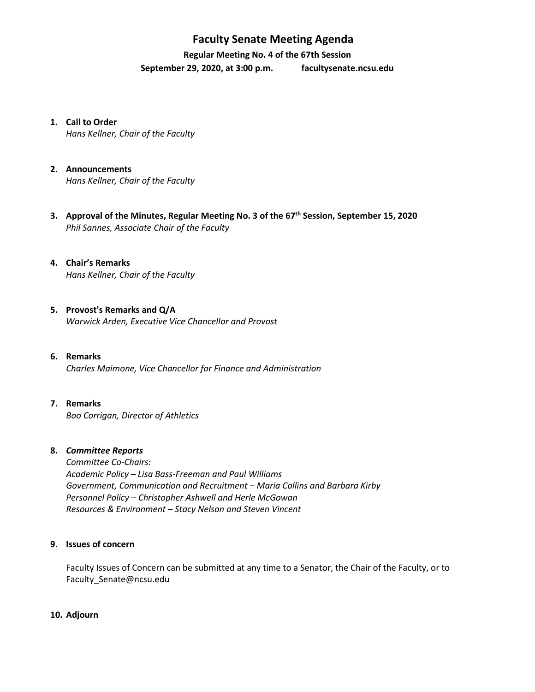## **Faculty Senate Meeting Agenda**

**Regular Meeting No. 4 of the 67th Session**

**September 29, 2020, at 3:00 p.m. [facultysenate.ncsu.edu](https://facultysenate.ncsu.edu/)**

- **1. Call to Order** *Hans Kellner, Chair of the Faculty*
- **2. Announcements**

*Hans Kellner, Chair of the Faculty*

- **3. Approval of the Minutes, Regular Meeting No. 3 of the 67th Session, September 15, 2020** *Phil Sannes, Associate Chair of the Faculty*
- **4. Chair's Remarks** *Hans Kellner, Chair of the Faculty*
- **5. Provost's Remarks and Q/A** *Warwick Arden, Executive Vice Chancellor and Provost*
- **6. Remarks** *Charles Maimone, Vice Chancellor for Finance and Administration*
- **7. Remarks** *Boo Corrigan, Director of Athletics*

#### **8.** *Committee Reports*

*Committee Co-Chairs: Academic Policy – Lisa Bass-Freeman and Paul Williams Government, Communication and Recruitment – Maria Collins and Barbara Kirby Personnel Policy – Christopher Ashwell and Herle McGowan Resources & Environment – Stacy Nelson and Steven Vincent*

### **9. Issues of concern**

Faculty Issues of Concern can be submitted at any time to a Senator, the Chair of the Faculty, or to [Faculty\\_Senate@ncsu.edu](mailto:Faculty_Senate@ncsu.edu)

**10. Adjourn**